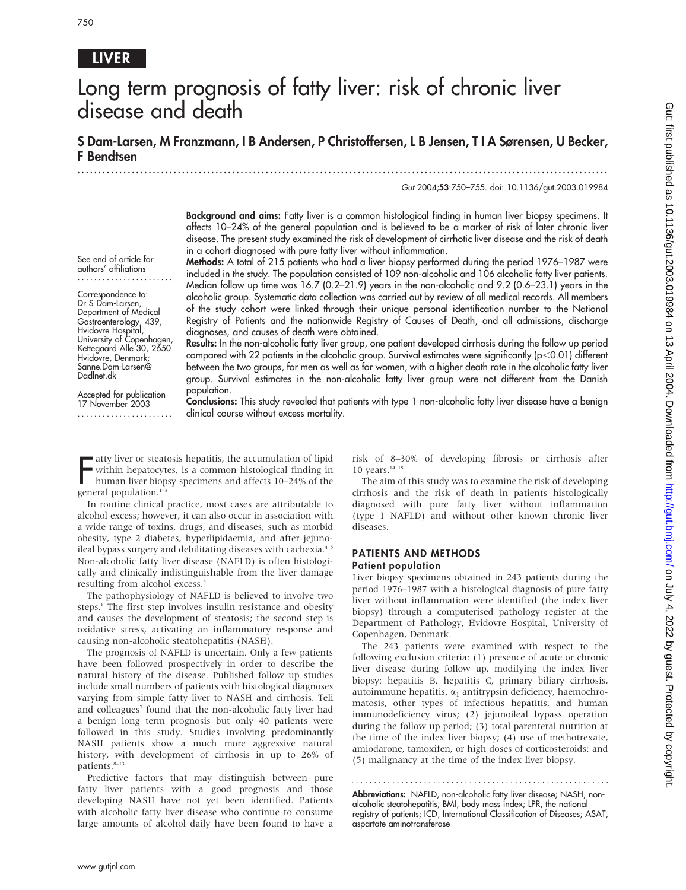# LIVER

# Long term prognosis of fatty liver: risk of chronic liver disease and death

S Dam-Larsen, M Franzmann, I B Andersen, P Christoffersen, L B Jensen, T I A Sørensen, U Becker, F Bendtsen

.............................................................................................................................. .

Gut 2004;53:750–755. doi: 10.1136/gut.2003.019984

Background and aims: Fatty liver is a common histological finding in human liver biopsy specimens. It affects 10–24% of the general population and is believed to be a marker of risk of later chronic liver disease. The present study examined the risk of development of cirrhotic liver disease and the risk of death in a cohort diagnosed with pure fatty liver without inflammation.

See end of article for authors' affiliations .......................

Correspondence to: Dr S Dam-Larsen, Department of Medical Gastroenterology, 439, Hvidovre Hospital, University of Copenhagen, Kettegaard Alle 30, 2650 Hvidovre, Denmark; Sanne.Dam-Larsen@ Dadlnet.dk

Accepted for publication 17 November 2003 ....................... Methods: A total of 215 patients who had a liver biopsy performed during the period 1976–1987 were included in the study. The population consisted of 109 non-alcoholic and 106 alcoholic fatty liver patients. Median follow up time was 16.7 (0.2–21.9) years in the non-alcoholic and 9.2 (0.6–23.1) years in the alcoholic group. Systematic data collection was carried out by review of all medical records. All members of the study cohort were linked through their unique personal identification number to the National Registry of Patients and the nationwide Registry of Causes of Death, and all admissions, discharge diagnoses, and causes of death were obtained.

Results: In the non-alcoholic fatty liver group, one patient developed cirrhosis during the follow up period compared with 22 patients in the alcoholic group. Survival estimates were significantly ( $p<0.01$ ) different between the two groups, for men as well as for women, with a higher death rate in the alcoholic fatty liver group. Survival estimates in the non-alcoholic fatty liver group were not different from the Danish population.

Conclusions: This study revealed that patients with type 1 non-alcoholic fatty liver disease have a benign clinical course without excess mortality.

Fully liver or steat<br>within hepatocyt<br>human liver biop<br>general population.<sup>1–3</sup> atty liver or steatosis hepatitis, the accumulation of lipid within hepatocytes, is a common histological finding in human liver biopsy specimens and affects 10–24% of the

In routine clinical practice, most cases are attributable to alcohol excess; however, it can also occur in association with a wide range of toxins, drugs, and diseases, such as morbid obesity, type 2 diabetes, hyperlipidaemia, and after jejunoileal bypass surgery and debilitating diseases with cachexia.<sup>45</sup> Non-alcoholic fatty liver disease (NAFLD) is often histologically and clinically indistinguishable from the liver damage resulting from alcohol excess.<sup>5</sup>

The pathophysiology of NAFLD is believed to involve two steps.<sup>6</sup> The first step involves insulin resistance and obesity and causes the development of steatosis; the second step is oxidative stress, activating an inflammatory response and causing non-alcoholic steatohepatitis (NASH).

The prognosis of NAFLD is uncertain. Only a few patients have been followed prospectively in order to describe the natural history of the disease. Published follow up studies include small numbers of patients with histological diagnoses varying from simple fatty liver to NASH and cirrhosis. Teli and colleagues<sup>7</sup> found that the non-alcoholic fatty liver had a benign long term prognosis but only 40 patients were followed in this study. Studies involving predominantly NASH patients show a much more aggressive natural history, with development of cirrhosis in up to 26% of patients.<sup>8-13</sup>

Predictive factors that may distinguish between pure fatty liver patients with a good prognosis and those developing NASH have not yet been identified. Patients with alcoholic fatty liver disease who continue to consume large amounts of alcohol daily have been found to have a risk of 8–30% of developing fibrosis or cirrhosis after 10 years.<sup>14 15</sup>

The aim of this study was to examine the risk of developing cirrhosis and the risk of death in patients histologically diagnosed with pure fatty liver without inflammation (type 1 NAFLD) and without other known chronic liver diseases.

#### PATIENTS AND METHODS Patient population

Liver biopsy specimens obtained in 243 patients during the period 1976–1987 with a histological diagnosis of pure fatty liver without inflammation were identified (the index liver biopsy) through a computerised pathology register at the Department of Pathology, Hvidovre Hospital, University of Copenhagen, Denmark.

The 243 patients were examined with respect to the following exclusion criteria: (1) presence of acute or chronic liver disease during follow up, modifying the index liver biopsy: hepatitis B, hepatitis C, primary biliary cirrhosis, autoimmune hepatitis,  $\alpha_1$  antitrypsin deficiency, haemochromatosis, other types of infectious hepatitis, and human immunodeficiency virus; (2) jejunoileal bypass operation during the follow up period; (3) total parenteral nutrition at the time of the index liver biopsy; (4) use of methotrexate, amiodarone, tamoxifen, or high doses of corticosteroids; and (5) malignancy at the time of the index liver biopsy.

Abbreviations: NAFLD, non-alcoholic fatty liver disease; NASH, nonalcoholic steatohepatitis; BMI, body mass index; LPR, the national registry of patients; ICD, International Classification of Diseases; ASAT, aspartate aminotransferase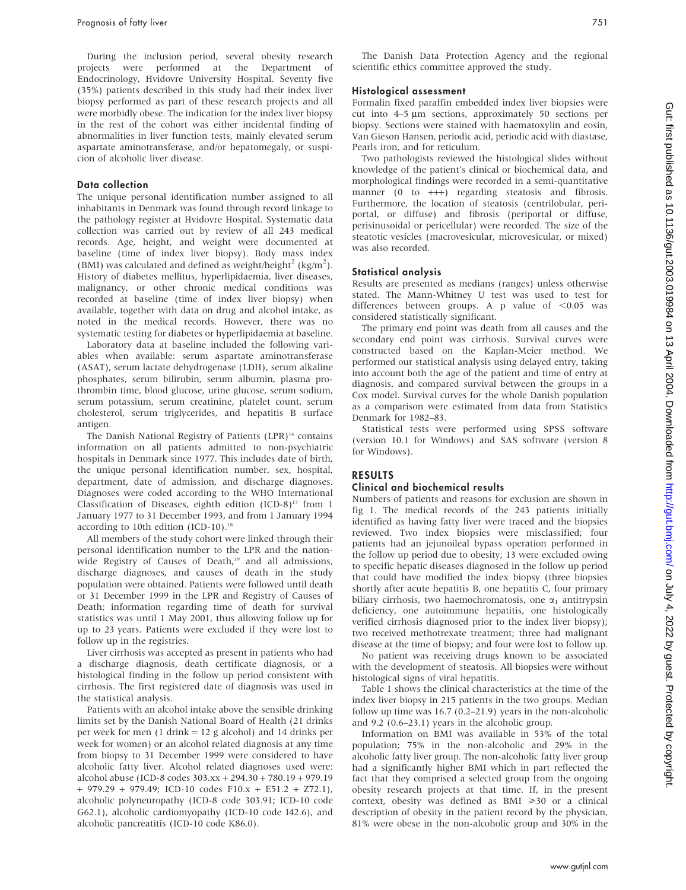During the inclusion period, several obesity research projects were performed at the Department of Endocrinology, Hvidovre University Hospital. Seventy five (35%) patients described in this study had their index liver biopsy performed as part of these research projects and all were morbidly obese. The indication for the index liver biopsy in the rest of the cohort was either incidental finding of abnormalities in liver function tests, mainly elevated serum aspartate aminotransferase, and/or hepatomegaly, or suspicion of alcoholic liver disease.

#### Data collection

The unique personal identification number assigned to all inhabitants in Denmark was found through record linkage to the pathology register at Hvidovre Hospital. Systematic data collection was carried out by review of all 243 medical records. Age, height, and weight were documented at baseline (time of index liver biopsy). Body mass index (BMI) was calculated and defined as weight/height<sup>2</sup> (kg/m<sup>2</sup>). History of diabetes mellitus, hyperlipidaemia, liver diseases, malignancy, or other chronic medical conditions was recorded at baseline (time of index liver biopsy) when available, together with data on drug and alcohol intake, as noted in the medical records. However, there was no systematic testing for diabetes or hyperlipidaemia at baseline.

Laboratory data at baseline included the following variables when available: serum aspartate aminotransferase (ASAT), serum lactate dehydrogenase (LDH), serum alkaline phosphates, serum bilirubin, serum albumin, plasma prothrombin time, blood glucose, urine glucose, serum sodium, serum potassium, serum creatinine, platelet count, serum cholesterol, serum triglycerides, and hepatitis B surface antigen.

The Danish National Registry of Patients (LPR)<sup>16</sup> contains information on all patients admitted to non-psychiatric hospitals in Denmark since 1977. This includes date of birth, the unique personal identification number, sex, hospital, department, date of admission, and discharge diagnoses. Diagnoses were coded according to the WHO International Classification of Diseases, eighth edition  $(ICD-8)^{17}$  from 1 January 1977 to 31 December 1993, and from 1 January 1994 according to 10th edition (ICD-10).<sup>18</sup>

All members of the study cohort were linked through their personal identification number to the LPR and the nationwide Registry of Causes of Death,<sup>19</sup> and all admissions, discharge diagnoses, and causes of death in the study population were obtained. Patients were followed until death or 31 December 1999 in the LPR and Registry of Causes of Death; information regarding time of death for survival statistics was until 1 May 2001, thus allowing follow up for up to 23 years. Patients were excluded if they were lost to follow up in the registries.

Liver cirrhosis was accepted as present in patients who had a discharge diagnosis, death certificate diagnosis, or a histological finding in the follow up period consistent with cirrhosis. The first registered date of diagnosis was used in the statistical analysis.

Patients with an alcohol intake above the sensible drinking limits set by the Danish National Board of Health (21 drinks per week for men (1 drink = 12 g alcohol) and 14 drinks per week for women) or an alcohol related diagnosis at any time from biopsy to 31 December 1999 were considered to have alcoholic fatty liver. Alcohol related diagnoses used were: alcohol abuse (ICD-8 codes 303.xx + 294.30 + 780.19 + 979.19 + 979.29 + 979.49; ICD-10 codes F10.x + E51.2 + Z72.1), alcoholic polyneuropathy (ICD-8 code 303.91; ICD-10 code G62.1), alcoholic cardiomyopathy (ICD-10 code I42.6), and alcoholic pancreatitis (ICD-10 code K86.0).

The Danish Data Protection Agency and the regional scientific ethics committee approved the study.

#### Histological assessment

Formalin fixed paraffin embedded index liver biopsies were cut into 4–5 µm sections, approximately 50 sections per biopsy. Sections were stained with haematoxylin and eosin, Van Gieson Hansen, periodic acid, periodic acid with diastase, Pearls iron, and for reticulum.

Two pathologists reviewed the histological slides without knowledge of the patient's clinical or biochemical data, and morphological findings were recorded in a semi-quantitative manner (0 to +++) regarding steatosis and fibrosis. Furthermore, the location of steatosis (centrilobular, periportal, or diffuse) and fibrosis (periportal or diffuse, perisinusoidal or pericellular) were recorded. The size of the steatotic vesicles (macrovesicular, microvesicular, or mixed) was also recorded.

#### Statistical analysis

Results are presented as medians (ranges) unless otherwise stated. The Mann-Whitney U test was used to test for differences between groups. A p value of  $< 0.05$  was considered statistically significant.

The primary end point was death from all causes and the secondary end point was cirrhosis. Survival curves were constructed based on the Kaplan-Meier method. We performed our statistical analysis using delayed entry, taking into account both the age of the patient and time of entry at diagnosis, and compared survival between the groups in a Cox model. Survival curves for the whole Danish population as a comparison were estimated from data from Statistics Denmark for 1982–83.

Statistical tests were performed using SPSS software (version 10.1 for Windows) and SAS software (version 8 for Windows).

### RESULTS

#### Clinical and biochemical results

Numbers of patients and reasons for exclusion are shown in fig 1. The medical records of the 243 patients initially identified as having fatty liver were traced and the biopsies reviewed. Two index biopsies were misclassified; four patients had an jejunoileal bypass operation performed in the follow up period due to obesity; 13 were excluded owing to specific hepatic diseases diagnosed in the follow up period that could have modified the index biopsy (three biopsies shortly after acute hepatitis B, one hepatitis C, four primary biliary cirrhosis, two haemochromatosis, one  $\alpha_1$  antitrypsin deficiency, one autoimmune hepatitis, one histologically verified cirrhosis diagnosed prior to the index liver biopsy); two received methotrexate treatment; three had malignant disease at the time of biopsy; and four were lost to follow up.

No patient was receiving drugs known to be associated with the development of steatosis. All biopsies were without histological signs of viral hepatitis.

Table 1 shows the clinical characteristics at the time of the index liver biopsy in 215 patients in the two groups. Median follow up time was 16.7 (0.2–21.9) years in the non-alcoholic and 9.2 (0.6–23.1) years in the alcoholic group.

Information on BMI was available in 53% of the total population; 75% in the non-alcoholic and 29% in the alcoholic fatty liver group. The non-alcoholic fatty liver group had a significantly higher BMI which in part reflected the fact that they comprised a selected group from the ongoing obesity research projects at that time. If, in the present context, obesity was defined as BMI  $\geq 30$  or a clinical description of obesity in the patient record by the physician, 81% were obese in the non-alcoholic group and 30% in the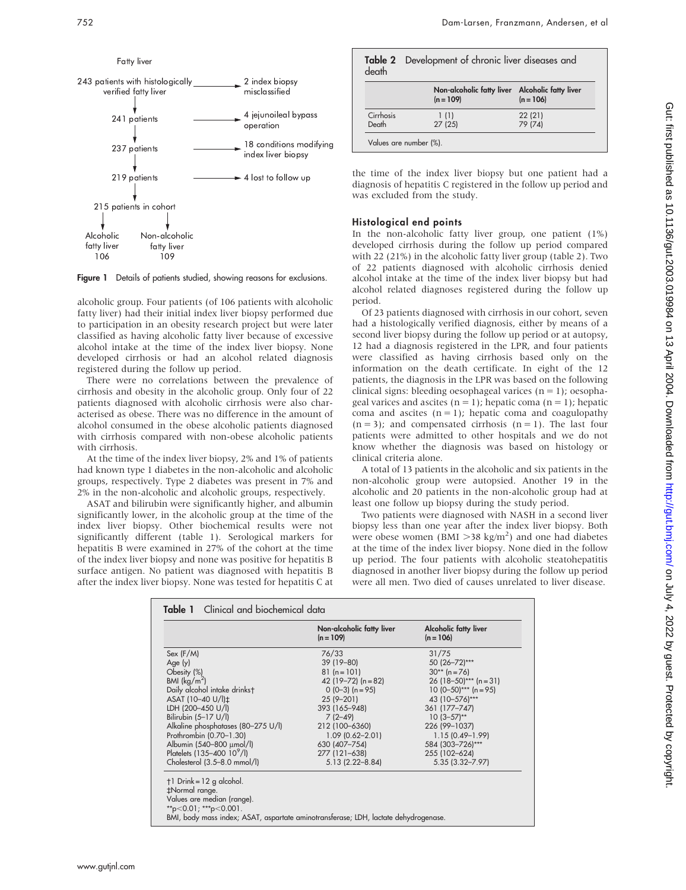

Figure 1 Details of patients studied, showing reasons for exclusions.

alcoholic group. Four patients (of 106 patients with alcoholic fatty liver) had their initial index liver biopsy performed due to participation in an obesity research project but were later classified as having alcoholic fatty liver because of excessive alcohol intake at the time of the index liver biopsy. None developed cirrhosis or had an alcohol related diagnosis registered during the follow up period.

There were no correlations between the prevalence of cirrhosis and obesity in the alcoholic group. Only four of 22 patients diagnosed with alcoholic cirrhosis were also characterised as obese. There was no difference in the amount of alcohol consumed in the obese alcoholic patients diagnosed with cirrhosis compared with non-obese alcoholic patients with cirrhosis.

At the time of the index liver biopsy, 2% and 1% of patients had known type 1 diabetes in the non-alcoholic and alcoholic groups, respectively. Type 2 diabetes was present in 7% and 2% in the non-alcoholic and alcoholic groups, respectively.

ASAT and bilirubin were significantly higher, and albumin significantly lower, in the alcoholic group at the time of the index liver biopsy. Other biochemical results were not significantly different (table 1). Serological markers for hepatitis B were examined in 27% of the cohort at the time of the index liver biopsy and none was positive for hepatitis B surface antigen. No patient was diagnosed with hepatitis B after the index liver biopsy. None was tested for hepatitis C at

| death              | Table 2 Development of chronic liver diseases and              |                   |  |
|--------------------|----------------------------------------------------------------|-------------------|--|
|                    | Non-alcoholic fatty liver Alcoholic fatty liver<br>$(n = 109)$ | $(n = 106)$       |  |
| Cirrhosis<br>Death | 1(1)<br>27(25)                                                 | 22(21)<br>79 (74) |  |
|                    | Values are number (%).                                         |                   |  |

the time of the index liver biopsy but one patient had a diagnosis of hepatitis C registered in the follow up period and was excluded from the study.

#### Histological end points

In the non-alcoholic fatty liver group, one patient (1%) developed cirrhosis during the follow up period compared with 22 (21%) in the alcoholic fatty liver group (table 2). Two of 22 patients diagnosed with alcoholic cirrhosis denied alcohol intake at the time of the index liver biopsy but had alcohol related diagnoses registered during the follow up period.

Of 23 patients diagnosed with cirrhosis in our cohort, seven had a histologically verified diagnosis, either by means of a second liver biopsy during the follow up period or at autopsy, 12 had a diagnosis registered in the LPR, and four patients were classified as having cirrhosis based only on the information on the death certificate. In eight of the 12 patients, the diagnosis in the LPR was based on the following clinical signs: bleeding oesophageal varices  $(n = 1)$ ; oesophageal varices and ascites ( $n = 1$ ); hepatic coma ( $n = 1$ ); hepatic coma and ascites  $(n = 1)$ ; hepatic coma and coagulopathy  $(n = 3)$ ; and compensated cirrhosis  $(n = 1)$ . The last four patients were admitted to other hospitals and we do not know whether the diagnosis was based on histology or clinical criteria alone.

A total of 13 patients in the alcoholic and six patients in the non-alcoholic group were autopsied. Another 19 in the alcoholic and 20 patients in the non-alcoholic group had at least one follow up biopsy during the study period.

Two patients were diagnosed with NASH in a second liver biopsy less than one year after the index liver biopsy. Both were obese women (BMI > 38 kg/m<sup>2</sup>) and one had diabetes at the time of the index liver biopsy. None died in the follow up period. The four patients with alcoholic steatohepatitis diagnosed in another liver biopsy during the follow up period were all men. Two died of causes unrelated to liver disease.

|                                                                                                                                                                                                                                                                                                                                    | Non-alcoholic fatty liver<br>$(n = 109)$                                     | Alcoholic fatty liver<br>$(n = 106)$                     |
|------------------------------------------------------------------------------------------------------------------------------------------------------------------------------------------------------------------------------------------------------------------------------------------------------------------------------------|------------------------------------------------------------------------------|----------------------------------------------------------|
| Sex (F/M)                                                                                                                                                                                                                                                                                                                          | 76/33                                                                        | 31/75                                                    |
|                                                                                                                                                                                                                                                                                                                                    | 39 (19-80)                                                                   | 50 (26-72)***                                            |
| Obesity (%)                                                                                                                                                                                                                                                                                                                        | $81(n=101)$                                                                  | $30** (n=76)$                                            |
| BMI $(kq/m2)$                                                                                                                                                                                                                                                                                                                      | 42 (19–72) $(n = 82)$                                                        | 26 (18–50)*** (n = 31)                                   |
| Daily alcohol intake drinkst                                                                                                                                                                                                                                                                                                       | $0(0-3)(n=95)$                                                               | 10 (0-50)*** (n = 95)<br>43 (10-576)***                  |
| ASAT (10-40 U/l)±<br>LDH (200-450 U/l)                                                                                                                                                                                                                                                                                             | $25(9 - 201)$                                                                |                                                          |
| Bilirubin (5-17 U/l)                                                                                                                                                                                                                                                                                                               | 393 (165-948)<br>$7(2-49)$                                                   | 361 (177-747)<br>$10(3-57)$ **                           |
| Alkaline phosphatases (80-275 U/l)                                                                                                                                                                                                                                                                                                 | 212 (100-6360)                                                               | 226 (99-1037)                                            |
|                                                                                                                                                                                                                                                                                                                                    |                                                                              |                                                          |
|                                                                                                                                                                                                                                                                                                                                    |                                                                              |                                                          |
|                                                                                                                                                                                                                                                                                                                                    |                                                                              |                                                          |
|                                                                                                                                                                                                                                                                                                                                    |                                                                              | $5.35(3.32 - 7.97)$                                      |
| Prothrombin (0.70-1.30)<br>Albumin (540-800 µmol/l)<br>Platelets (135-400 10 <sup>9</sup> /l)<br>Cholesterol (3.5-8.0 mmol/l)<br>$\dagger$ 1 Drink = 12 g alcohol.<br>#Normal range.<br>Values are median (range).<br>**p<0.01; ***p<0.001.<br>BMI, body mass index; ASAT, aspartate aminotransferase; LDH, lactate dehydrogenase. | $1.09(0.62 - 2.01)$<br>630 (407-754)<br>277 (121-638)<br>$5.13(2.22 - 8.84)$ | $1.15(0.49 - 1.99)$<br>584 (303-726)***<br>255 (102-624) |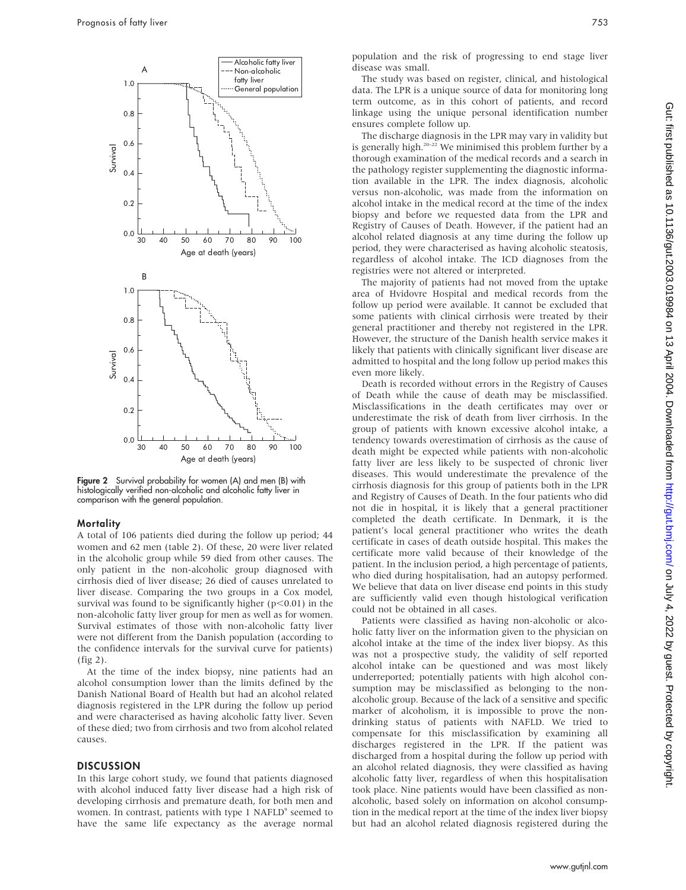

**Figure 2** Survival probability for women (A) and men (B) with histologically verified non-alcoholic and alcoholic fatty liver in comparison with the general population.

#### Mortality

A total of 106 patients died during the follow up period; 44 women and 62 men (table 2). Of these, 20 were liver related in the alcoholic group while 59 died from other causes. The only patient in the non-alcoholic group diagnosed with cirrhosis died of liver disease; 26 died of causes unrelated to liver disease. Comparing the two groups in a Cox model, survival was found to be significantly higher ( $p<0.01$ ) in the non-alcoholic fatty liver group for men as well as for women. Survival estimates of those with non-alcoholic fatty liver were not different from the Danish population (according to the confidence intervals for the survival curve for patients) (fig 2).

At the time of the index biopsy, nine patients had an alcohol consumption lower than the limits defined by the Danish National Board of Health but had an alcohol related diagnosis registered in the LPR during the follow up period and were characterised as having alcoholic fatty liver. Seven of these died; two from cirrhosis and two from alcohol related causes.

## **DISCUSSION**

In this large cohort study, we found that patients diagnosed with alcohol induced fatty liver disease had a high risk of developing cirrhosis and premature death, for both men and women. In contrast, patients with type 1 NAFLD<sup>9</sup> seemed to have the same life expectancy as the average normal population and the risk of progressing to end stage liver disease was small.

The study was based on register, clinical, and histological data. The LPR is a unique source of data for monitoring long term outcome, as in this cohort of patients, and record linkage using the unique personal identification number ensures complete follow up.

The discharge diagnosis in the LPR may vary in validity but is generally high.<sup>20–22</sup> We minimised this problem further by a thorough examination of the medical records and a search in the pathology register supplementing the diagnostic information available in the LPR. The index diagnosis, alcoholic versus non-alcoholic, was made from the information on alcohol intake in the medical record at the time of the index biopsy and before we requested data from the LPR and Registry of Causes of Death. However, if the patient had an alcohol related diagnosis at any time during the follow up period, they were characterised as having alcoholic steatosis, regardless of alcohol intake. The ICD diagnoses from the registries were not altered or interpreted.

The majority of patients had not moved from the uptake area of Hvidovre Hospital and medical records from the follow up period were available. It cannot be excluded that some patients with clinical cirrhosis were treated by their general practitioner and thereby not registered in the LPR. However, the structure of the Danish health service makes it likely that patients with clinically significant liver disease are admitted to hospital and the long follow up period makes this even more likely.

Death is recorded without errors in the Registry of Causes of Death while the cause of death may be misclassified. Misclassifications in the death certificates may over or underestimate the risk of death from liver cirrhosis. In the group of patients with known excessive alcohol intake, a tendency towards overestimation of cirrhosis as the cause of death might be expected while patients with non-alcoholic fatty liver are less likely to be suspected of chronic liver diseases. This would underestimate the prevalence of the cirrhosis diagnosis for this group of patients both in the LPR and Registry of Causes of Death. In the four patients who did not die in hospital, it is likely that a general practitioner completed the death certificate. In Denmark, it is the patient's local general practitioner who writes the death certificate in cases of death outside hospital. This makes the certificate more valid because of their knowledge of the patient. In the inclusion period, a high percentage of patients, who died during hospitalisation, had an autopsy performed. We believe that data on liver disease end points in this study are sufficiently valid even though histological verification could not be obtained in all cases.

Patients were classified as having non-alcoholic or alcoholic fatty liver on the information given to the physician on alcohol intake at the time of the index liver biopsy. As this was not a prospective study, the validity of self reported alcohol intake can be questioned and was most likely underreported; potentially patients with high alcohol consumption may be misclassified as belonging to the nonalcoholic group. Because of the lack of a sensitive and specific marker of alcoholism, it is impossible to prove the nondrinking status of patients with NAFLD. We tried to compensate for this misclassification by examining all discharges registered in the LPR. If the patient was discharged from a hospital during the follow up period with an alcohol related diagnosis, they were classified as having alcoholic fatty liver, regardless of when this hospitalisation took place. Nine patients would have been classified as nonalcoholic, based solely on information on alcohol consumption in the medical report at the time of the index liver biopsy but had an alcohol related diagnosis registered during the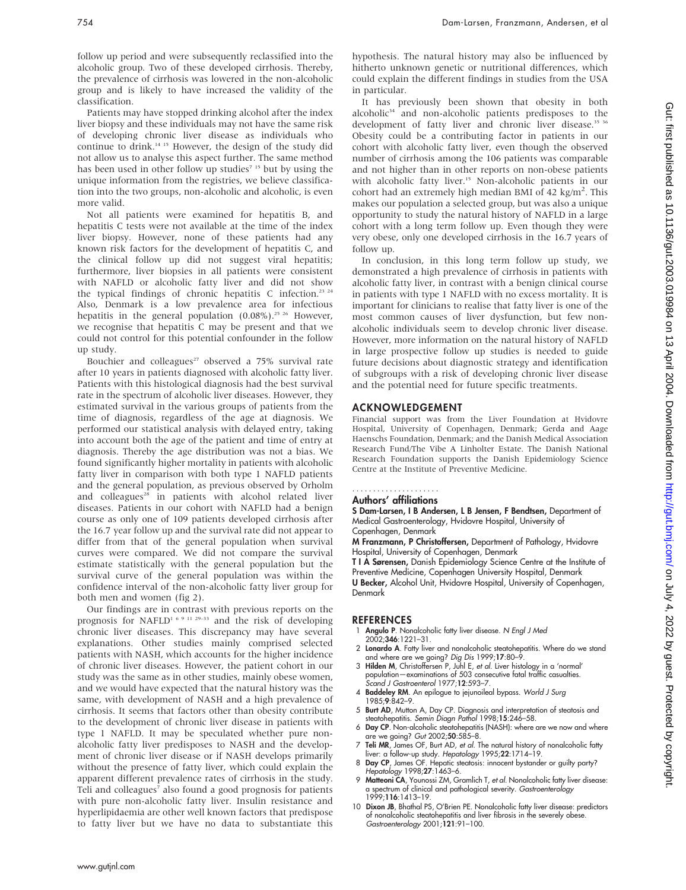follow up period and were subsequently reclassified into the alcoholic group. Two of these developed cirrhosis. Thereby, the prevalence of cirrhosis was lowered in the non-alcoholic group and is likely to have increased the validity of the classification.

Patients may have stopped drinking alcohol after the index liver biopsy and these individuals may not have the same risk of developing chronic liver disease as individuals who continue to drink.14 15 However, the design of the study did not allow us to analyse this aspect further. The same method has been used in other follow up studies<sup> $715$ </sup> but by using the unique information from the registries, we believe classification into the two groups, non-alcoholic and alcoholic, is even more valid.

Not all patients were examined for hepatitis B, and hepatitis C tests were not available at the time of the index liver biopsy. However, none of these patients had any known risk factors for the development of hepatitis C, and the clinical follow up did not suggest viral hepatitis; furthermore, liver biopsies in all patients were consistent with NAFLD or alcoholic fatty liver and did not show the typical findings of chronic hepatitis C infection.<sup>23 24</sup> Also, Denmark is a low prevalence area for infectious hepatitis in the general population (0.08%).<sup>25 26</sup> However, we recognise that hepatitis C may be present and that we could not control for this potential confounder in the follow up study.

Bouchier and colleagues<sup>27</sup> observed a 75% survival rate after 10 years in patients diagnosed with alcoholic fatty liver. Patients with this histological diagnosis had the best survival rate in the spectrum of alcoholic liver diseases. However, they estimated survival in the various groups of patients from the time of diagnosis, regardless of the age at diagnosis. We performed our statistical analysis with delayed entry, taking into account both the age of the patient and time of entry at diagnosis. Thereby the age distribution was not a bias. We found significantly higher mortality in patients with alcoholic fatty liver in comparison with both type 1 NAFLD patients and the general population, as previous observed by Orholm and colleagues<sup>28</sup> in patients with alcohol related liver diseases. Patients in our cohort with NAFLD had a benign course as only one of 109 patients developed cirrhosis after the 16.7 year follow up and the survival rate did not appear to differ from that of the general population when survival curves were compared. We did not compare the survival estimate statistically with the general population but the survival curve of the general population was within the confidence interval of the non-alcoholic fatty liver group for both men and women (fig 2).

Our findings are in contrast with previous reports on the prognosis for NAFLD<sup>1 6 9 11 29–33</sup> and the risk of developing chronic liver diseases. This discrepancy may have several explanations. Other studies mainly comprised selected patients with NASH, which accounts for the higher incidence of chronic liver diseases. However, the patient cohort in our study was the same as in other studies, mainly obese women, and we would have expected that the natural history was the same, with development of NASH and a high prevalence of cirrhosis. It seems that factors other than obesity contribute to the development of chronic liver disease in patients with type 1 NAFLD. It may be speculated whether pure nonalcoholic fatty liver predisposes to NASH and the development of chronic liver disease or if NASH develops primarily without the presence of fatty liver, which could explain the apparent different prevalence rates of cirrhosis in the study. Teli and colleagues<sup>7</sup> also found a good prognosis for patients with pure non-alcoholic fatty liver. Insulin resistance and hyperlipidaemia are other well known factors that predispose to fatty liver but we have no data to substantiate this hypothesis. The natural history may also be influenced by hitherto unknown genetic or nutritional differences, which could explain the different findings in studies from the USA in particular.

It has previously been shown that obesity in both alcoholic<sup>34</sup> and non-alcoholic patients predisposes to the development of fatty liver and chronic liver disease.<sup>35 36</sup> Obesity could be a contributing factor in patients in our cohort with alcoholic fatty liver, even though the observed number of cirrhosis among the 106 patients was comparable and not higher than in other reports on non-obese patients with alcoholic fatty liver.<sup>15</sup> Non-alcoholic patients in our cohort had an extremely high median BMI of 42 kg/m<sup>2</sup>. This makes our population a selected group, but was also a unique opportunity to study the natural history of NAFLD in a large cohort with a long term follow up. Even though they were very obese, only one developed cirrhosis in the 16.7 years of follow up.

In conclusion, in this long term follow up study, we demonstrated a high prevalence of cirrhosis in patients with alcoholic fatty liver, in contrast with a benign clinical course in patients with type 1 NAFLD with no excess mortality. It is important for clinicians to realise that fatty liver is one of the most common causes of liver dysfunction, but few nonalcoholic individuals seem to develop chronic liver disease. However, more information on the natural history of NAFLD in large prospective follow up studies is needed to guide future decisions about diagnostic strategy and identification of subgroups with a risk of developing chronic liver disease and the potential need for future specific treatments.

#### ACKNOWLEDGEMENT

Financial support was from the Liver Foundation at Hvidovre Hospital, University of Copenhagen, Denmark; Gerda and Aage Haenschs Foundation, Denmark; and the Danish Medical Association Research Fund/The Vibe A Linholter Estate. The Danish National Research Foundation supports the Danish Epidemiology Science Centre at the Institute of Preventive Medicine.

# .....................

Authors' affiliations

S Dam-Larsen, I B Andersen, L B Jensen, F Bendtsen, Department of Medical Gastroenterology, Hvidovre Hospital, University of

Copenhagen, Denmark M Franzmann, P Christoffersen, Department of Pathology, Hvidovre

Hospital, University of Copenhagen, Denmark T I A Sørensen, Danish Epidemiology Science Centre at the Institute of Preventive Medicine, Copenhagen University Hospital, Denmark U Becker, Alcohol Unit, Hvidovre Hospital, University of Copenhagen, Denmark

#### **REFERENCES**

- Angulo P. Nonalcoholic fatty liver disease. N Engl J Med 2002;346:1221–31.
- 2 Lonardo A. Fatty liver and nonalcoholic steatohepatitis. Where do we stand and where are we going? Dig Dis 1999;17:80–9.
- 3 Hilden M, Christoffersen P, Juhl E, et al. Liver histology in a 'normal' population—examinations of 503 consecutive fatal traffic casualties. Scand J Gastroenterol 1977;12:593–7.
- 4 Baddeley RM. An epilogue to jejunoileal bypass. World J Surg 1985;9:842–9.
- 5 Burt AD, Mutton A, Day CP. Diagnosis and interpretation of steatosis and steatohepatitis. Semin Diagn Pathol 1998;15:246–58.
- 6 Day CP. Non-alcoholic steatohepatitis (NASH): where are we now and where are we going? Gut 2002;50:585–8.
- 7 Teli MR, James OF, Burt AD, et al. The natural history of nonalcoholic fatty liver: a follow-up study. Hepatology 1995;22:1714–19.
- 8 Day CP, James OF. Hepatic steatosis: innocent bystander or guilty party? Hepatology 1998;27:1463–6.
- 9 Matteoni CA, Younossi ZM, Gramlich T, et al. Nonalcoholic fatty liver disease: a spectrum of clinical and pathological severity. Gastroenterology 1999;116:1413–19.
- 10 Dixon JB, Bhathal PS, O'Brien PE. Nonalcoholic fatty liver disease: predictors of nonalcoholic steatohepatitis and liver fibrosis in the severely obese. Gastroenterology 2001;121:91–100.